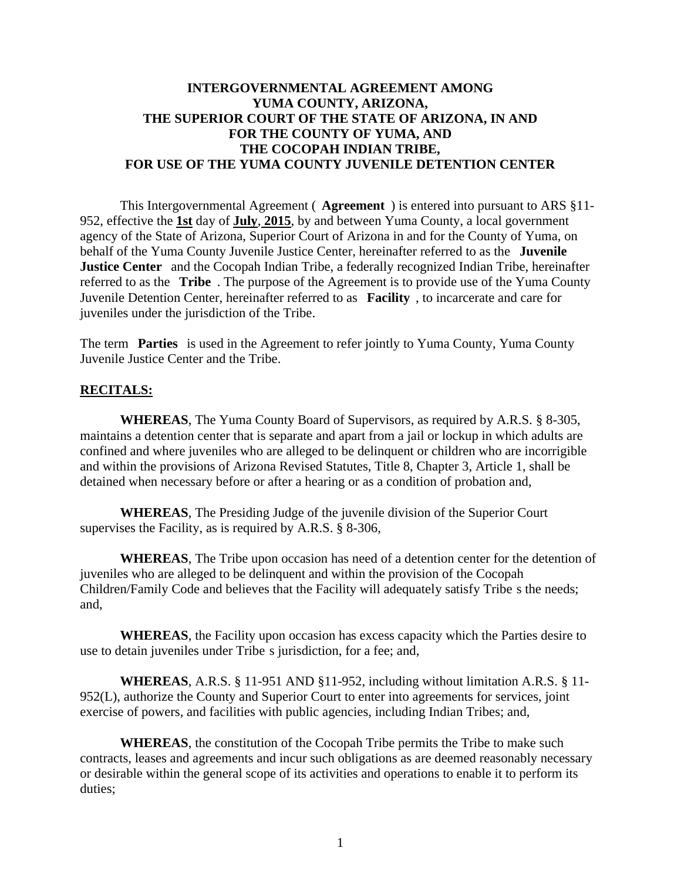# **INTERGOVERNMENTAL AGREEMENT AMONG YUMA COUNTY, ARIZONA, THE SUPERIOR COURT OF THE STATE OF ARIZONA, IN AND FOR THE COUNTY OF YUMA, AND THE COCOPAH INDIAN TRIBE, FOR USE OF THE YUMA COUNTY JUVENILE DETENTION CENTER**

This Intergovernmental Agreement ( **Agreement** ) is entered into pursuant to ARS §11- 952, effective the **1st** day of **July**, **2015**, by and between Yuma County, a local government agency of the State of Arizona, Superior Court of Arizona in and for the County of Yuma, on behalf of the Yuma County Juvenile Justice Center, hereinafter referred to as the **Juvenile Justice Center** and the Cocopah Indian Tribe, a federally recognized Indian Tribe, hereinafter referred to as the **Tribe** . The purpose of the Agreement is to provide use of the Yuma County Juvenile Detention Center, hereinafter referred to as **Facility** , to incarcerate and care for juveniles under the jurisdiction of the Tribe.

The term **Parties** is used in the Agreement to refer jointly to Yuma County, Yuma County Juvenile Justice Center and the Tribe.

# **RECITALS:**

**WHEREAS**, The Yuma County Board of Supervisors, as required by A.R.S. § 8-305, maintains a detention center that is separate and apart from a jail or lockup in which adults are confined and where juveniles who are alleged to be delinquent or children who are incorrigible and within the provisions of Arizona Revised Statutes, Title 8, Chapter 3, Article 1, shall be detained when necessary before or after a hearing or as a condition of probation and,

**WHEREAS**, The Presiding Judge of the juvenile division of the Superior Court supervises the Facility, as is required by A.R.S. § 8-306,

**WHEREAS**, The Tribe upon occasion has need of a detention center for the detention of juveniles who are alleged to be delinquent and within the provision of the Cocopah Children/Family Code and believes that the Facility will adequately satisfy Tribe s the needs; and,

**WHEREAS**, the Facility upon occasion has excess capacity which the Parties desire to use to detain juveniles under Tribe s jurisdiction, for a fee; and,

**WHEREAS**, A.R.S. § 11-951 AND §11-952, including without limitation A.R.S. § 11- 952(L), authorize the County and Superior Court to enter into agreements for services, joint exercise of powers, and facilities with public agencies, including Indian Tribes; and,

**WHEREAS**, the constitution of the Cocopah Tribe permits the Tribe to make such contracts, leases and agreements and incur such obligations as are deemed reasonably necessary or desirable within the general scope of its activities and operations to enable it to perform its duties;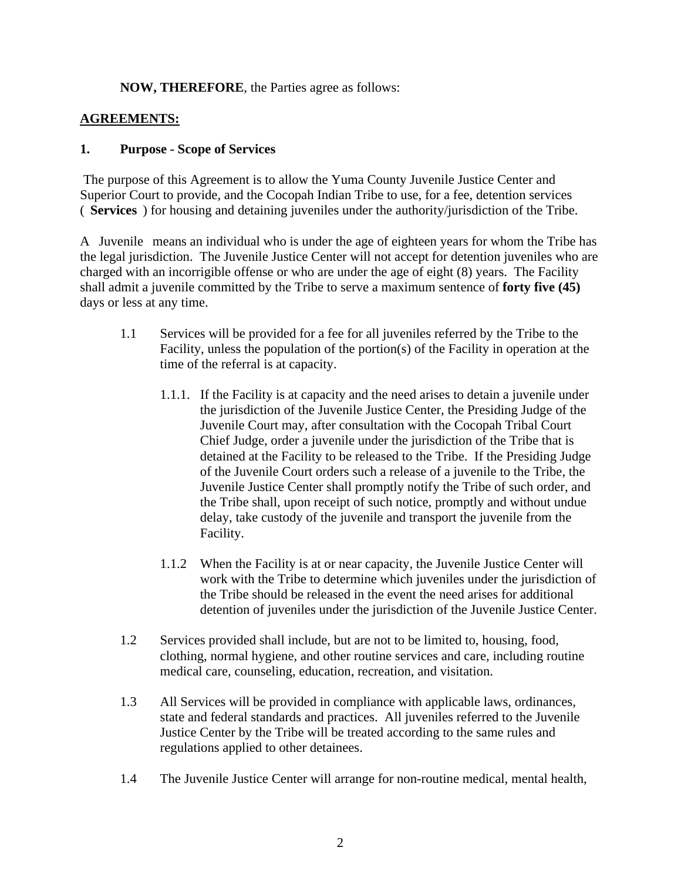# **NOW, THEREFORE**, the Parties agree as follows:

# **AGREEMENTS:**

# **1. Purpose - Scope of Services**

The purpose of this Agreement is to allow the Yuma County Juvenile Justice Center and Superior Court to provide, and the Cocopah Indian Tribe to use, for a fee, detention services ( **Services** ) for housing and detaining juveniles under the authority/jurisdiction of the Tribe.

A Juvenile means an individual who is under the age of eighteen years for whom the Tribe has the legal jurisdiction. The Juvenile Justice Center will not accept for detention juveniles who are charged with an incorrigible offense or who are under the age of eight (8) years. The Facility shall admit a juvenile committed by the Tribe to serve a maximum sentence of **forty five (45)**  days or less at any time.

- 1.1 Services will be provided for a fee for all juveniles referred by the Tribe to the Facility, unless the population of the portion(s) of the Facility in operation at the time of the referral is at capacity.
	- 1.1.1. If the Facility is at capacity and the need arises to detain a juvenile under the jurisdiction of the Juvenile Justice Center, the Presiding Judge of the Juvenile Court may, after consultation with the Cocopah Tribal Court Chief Judge, order a juvenile under the jurisdiction of the Tribe that is detained at the Facility to be released to the Tribe. If the Presiding Judge of the Juvenile Court orders such a release of a juvenile to the Tribe, the Juvenile Justice Center shall promptly notify the Tribe of such order, and the Tribe shall, upon receipt of such notice, promptly and without undue delay, take custody of the juvenile and transport the juvenile from the Facility.
	- 1.1.2 When the Facility is at or near capacity, the Juvenile Justice Center will work with the Tribe to determine which juveniles under the jurisdiction of the Tribe should be released in the event the need arises for additional detention of juveniles under the jurisdiction of the Juvenile Justice Center.
- 1.2 Services provided shall include, but are not to be limited to, housing, food, clothing, normal hygiene, and other routine services and care, including routine medical care, counseling, education, recreation, and visitation.
- 1.3 All Services will be provided in compliance with applicable laws, ordinances, state and federal standards and practices. All juveniles referred to the Juvenile Justice Center by the Tribe will be treated according to the same rules and regulations applied to other detainees.
- 1.4 The Juvenile Justice Center will arrange for non-routine medical, mental health,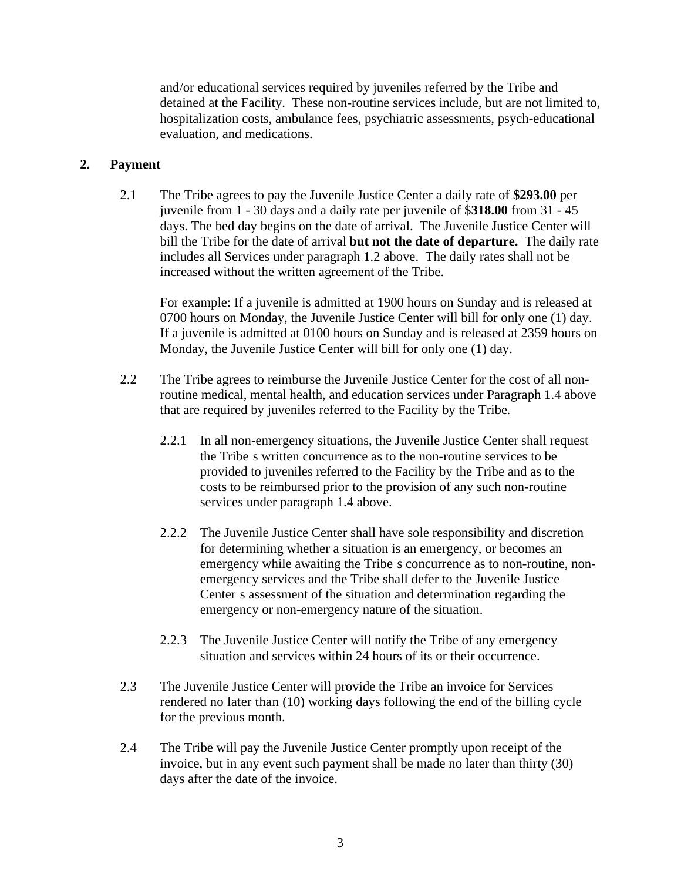and/or educational services required by juveniles referred by the Tribe and detained at the Facility. These non-routine services include, but are not limited to, hospitalization costs, ambulance fees, psychiatric assessments, psych-educational evaluation, and medications.

# **2. Payment**

2.1 The Tribe agrees to pay the Juvenile Justice Center a daily rate of **\$293.00** per juvenile from 1 - 30 days and a daily rate per juvenile of \$**318.00** from 31 - 45 days. The bed day begins on the date of arrival. The Juvenile Justice Center will bill the Tribe for the date of arrival **but not the date of departure.** The daily rate includes all Services under paragraph 1.2 above. The daily rates shall not be increased without the written agreement of the Tribe.

For example: If a juvenile is admitted at 1900 hours on Sunday and is released at 0700 hours on Monday, the Juvenile Justice Center will bill for only one (1) day. If a juvenile is admitted at 0100 hours on Sunday and is released at 2359 hours on Monday, the Juvenile Justice Center will bill for only one (1) day.

- 2.2 The Tribe agrees to reimburse the Juvenile Justice Center for the cost of all nonroutine medical, mental health, and education services under Paragraph 1.4 above that are required by juveniles referred to the Facility by the Tribe.
	- 2.2.1 In all non-emergency situations, the Juvenile Justice Center shall request the Tribe s written concurrence as to the non-routine services to be provided to juveniles referred to the Facility by the Tribe and as to the costs to be reimbursed prior to the provision of any such non-routine services under paragraph 1.4 above.
	- 2.2.2 The Juvenile Justice Center shall have sole responsibility and discretion for determining whether a situation is an emergency, or becomes an emergency while awaiting the Tribe s concurrence as to non-routine, nonemergency services and the Tribe shall defer to the Juvenile Justice Center s assessment of the situation and determination regarding the emergency or non-emergency nature of the situation.
	- 2.2.3 The Juvenile Justice Center will notify the Tribe of any emergency situation and services within 24 hours of its or their occurrence.
- 2.3 The Juvenile Justice Center will provide the Tribe an invoice for Services rendered no later than (10) working days following the end of the billing cycle for the previous month.
- 2.4 The Tribe will pay the Juvenile Justice Center promptly upon receipt of the invoice, but in any event such payment shall be made no later than thirty (30) days after the date of the invoice.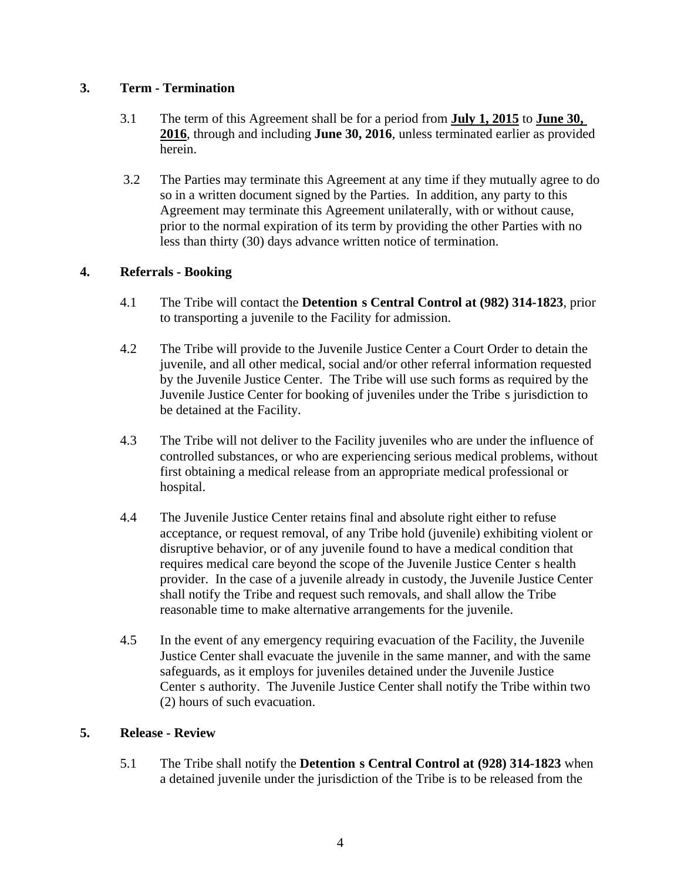# **3. Term - Termination**

- 3.1 The term of this Agreement shall be for a period from **July 1, 2015** to **June 30, 2016**, through and including **June 30, 2016**, unless terminated earlier as provided herein.
- 3.2 The Parties may terminate this Agreement at any time if they mutually agree to do so in a written document signed by the Parties. In addition, any party to this Agreement may terminate this Agreement unilaterally, with or without cause, prior to the normal expiration of its term by providing the other Parties with no less than thirty (30) days advance written notice of termination.

# **4. Referrals - Booking**

- 4.1 The Tribe will contact the **Detention s Central Control at (982) 314-1823**, prior to transporting a juvenile to the Facility for admission.
- 4.2 The Tribe will provide to the Juvenile Justice Center a Court Order to detain the juvenile, and all other medical, social and/or other referral information requested by the Juvenile Justice Center. The Tribe will use such forms as required by the Juvenile Justice Center for booking of juveniles under the Tribe s jurisdiction to be detained at the Facility.
- 4.3 The Tribe will not deliver to the Facility juveniles who are under the influence of controlled substances, or who are experiencing serious medical problems, without first obtaining a medical release from an appropriate medical professional or hospital.
- 4.4 The Juvenile Justice Center retains final and absolute right either to refuse acceptance, or request removal, of any Tribe hold (juvenile) exhibiting violent or disruptive behavior, or of any juvenile found to have a medical condition that requires medical care beyond the scope of the Juvenile Justice Center s health provider. In the case of a juvenile already in custody, the Juvenile Justice Center shall notify the Tribe and request such removals, and shall allow the Tribe reasonable time to make alternative arrangements for the juvenile.
- 4.5 In the event of any emergency requiring evacuation of the Facility, the Juvenile Justice Center shall evacuate the juvenile in the same manner, and with the same safeguards, as it employs for juveniles detained under the Juvenile Justice Center s authority. The Juvenile Justice Center shall notify the Tribe within two (2) hours of such evacuation.

# **5. Release - Review**

5.1 The Tribe shall notify the **Detention s Central Control at (928) 314-1823** when a detained juvenile under the jurisdiction of the Tribe is to be released from the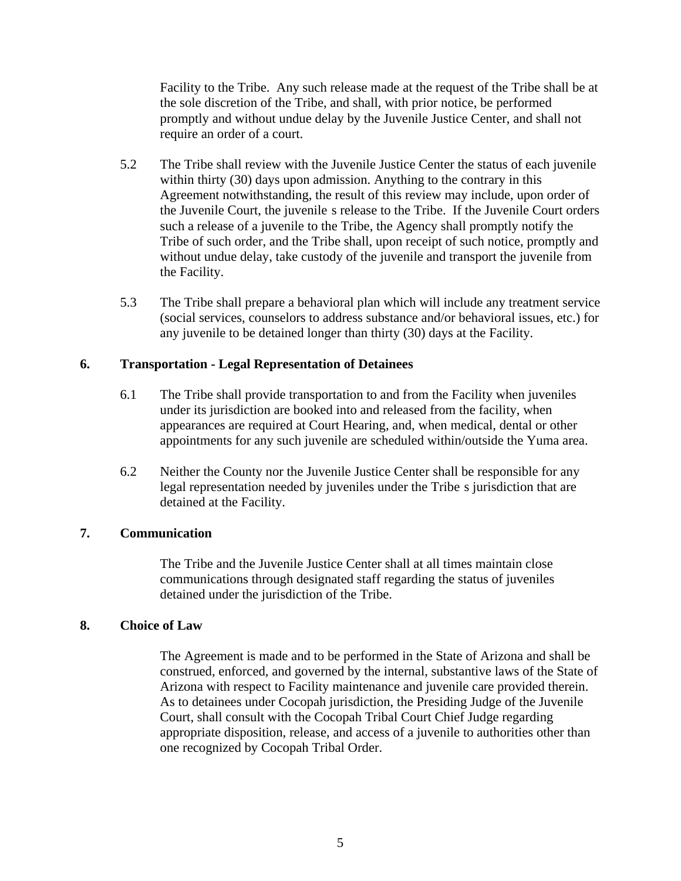Facility to the Tribe. Any such release made at the request of the Tribe shall be at the sole discretion of the Tribe, and shall, with prior notice, be performed promptly and without undue delay by the Juvenile Justice Center, and shall not require an order of a court.

- 5.2 The Tribe shall review with the Juvenile Justice Center the status of each juvenile within thirty (30) days upon admission. Anything to the contrary in this Agreement notwithstanding, the result of this review may include, upon order of the Juvenile Court, the juvenile s release to the Tribe. If the Juvenile Court orders such a release of a juvenile to the Tribe, the Agency shall promptly notify the Tribe of such order, and the Tribe shall, upon receipt of such notice, promptly and without undue delay, take custody of the juvenile and transport the juvenile from the Facility.
- 5.3 The Tribe shall prepare a behavioral plan which will include any treatment service (social services, counselors to address substance and/or behavioral issues, etc.) for any juvenile to be detained longer than thirty (30) days at the Facility.

# **6. Transportation - Legal Representation of Detainees**

- 6.1 The Tribe shall provide transportation to and from the Facility when juveniles under its jurisdiction are booked into and released from the facility, when appearances are required at Court Hearing, and, when medical, dental or other appointments for any such juvenile are scheduled within/outside the Yuma area.
- 6.2 Neither the County nor the Juvenile Justice Center shall be responsible for any legal representation needed by juveniles under the Tribe s jurisdiction that are detained at the Facility.

# **7. Communication**

The Tribe and the Juvenile Justice Center shall at all times maintain close communications through designated staff regarding the status of juveniles detained under the jurisdiction of the Tribe.

# **8. Choice of Law**

The Agreement is made and to be performed in the State of Arizona and shall be construed, enforced, and governed by the internal, substantive laws of the State of Arizona with respect to Facility maintenance and juvenile care provided therein. As to detainees under Cocopah jurisdiction, the Presiding Judge of the Juvenile Court, shall consult with the Cocopah Tribal Court Chief Judge regarding appropriate disposition, release, and access of a juvenile to authorities other than one recognized by Cocopah Tribal Order.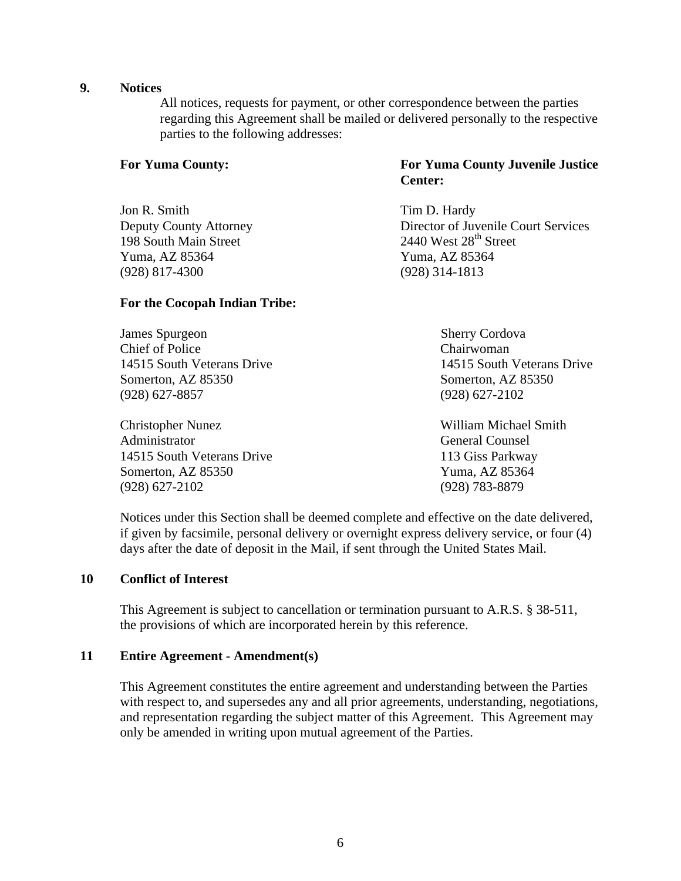## **9. Notices**

All notices, requests for payment, or other correspondence between the parties regarding this Agreement shall be mailed or delivered personally to the respective parties to the following addresses:

Jon R. Smith Tim D. Hardy 198 South Main Street Yuma, AZ 85364 Yuma, AZ 85364 (928) 817-4300 (928) 314-1813

# **For the Cocopah Indian Tribe:**

**James Spurgeon** Sherry Cordova Chief of Police Chairwoman 14515 South Veterans Drive 14515 South Veterans Drive Somerton, AZ 85350 Somerton, AZ 85350 (928) 627-8857 (928) 627-2102

Christopher Nunez William Michael Smith Administrator General Counsel 14515 South Veterans Drive 113 Giss Parkway Somerton, AZ 85350 Yuma, AZ 85364 (928) 627-2102 (928) 783-8879

# **For Yuma County: For Yuma County Juvenile Justice Center:**

Deputy County Attorney<br>
198 South Main Street<br>
2440 West 28<sup>th</sup> Street

Notices under this Section shall be deemed complete and effective on the date delivered, if given by facsimile, personal delivery or overnight express delivery service, or four (4) days after the date of deposit in the Mail, if sent through the United States Mail.

### **10 Conflict of Interest**

This Agreement is subject to cancellation or termination pursuant to A.R.S. § 38-511, the provisions of which are incorporated herein by this reference.

### **11 Entire Agreement - Amendment(s)**

This Agreement constitutes the entire agreement and understanding between the Parties with respect to, and supersedes any and all prior agreements, understanding, negotiations, and representation regarding the subject matter of this Agreement. This Agreement may only be amended in writing upon mutual agreement of the Parties.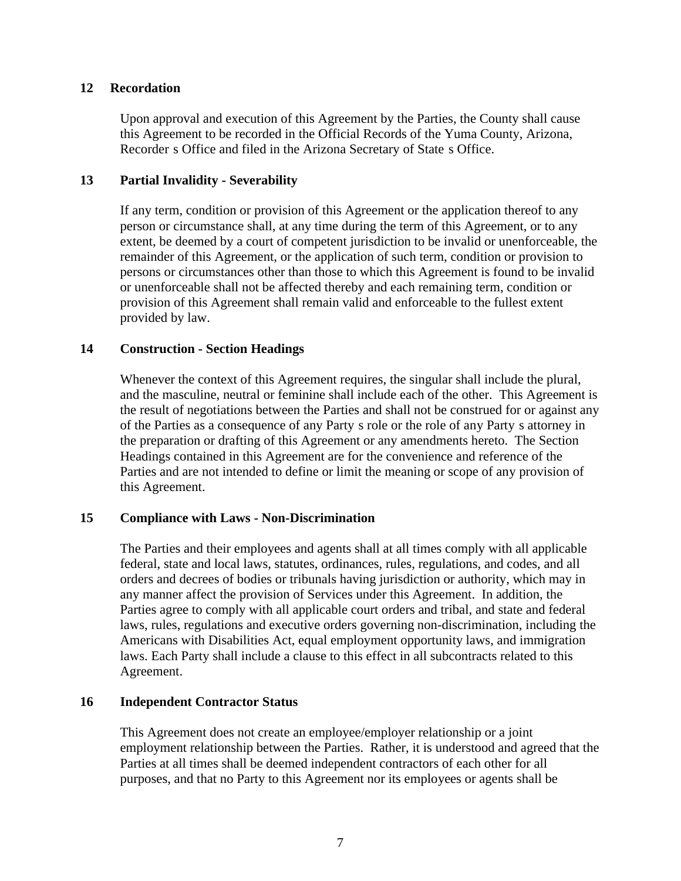# **12 Recordation**

Upon approval and execution of this Agreement by the Parties, the County shall cause this Agreement to be recorded in the Official Records of the Yuma County, Arizona, Recorder s Office and filed in the Arizona Secretary of State s Office.

# **13 Partial Invalidity - Severability**

If any term, condition or provision of this Agreement or the application thereof to any person or circumstance shall, at any time during the term of this Agreement, or to any extent, be deemed by a court of competent jurisdiction to be invalid or unenforceable, the remainder of this Agreement, or the application of such term, condition or provision to persons or circumstances other than those to which this Agreement is found to be invalid or unenforceable shall not be affected thereby and each remaining term, condition or provision of this Agreement shall remain valid and enforceable to the fullest extent provided by law.

# **14 Construction - Section Headings**

Whenever the context of this Agreement requires, the singular shall include the plural, and the masculine, neutral or feminine shall include each of the other. This Agreement is the result of negotiations between the Parties and shall not be construed for or against any of the Parties as a consequence of any Party s role or the role of any Party s attorney in the preparation or drafting of this Agreement or any amendments hereto. The Section Headings contained in this Agreement are for the convenience and reference of the Parties and are not intended to define or limit the meaning or scope of any provision of this Agreement.

# **15 Compliance with Laws - Non-Discrimination**

The Parties and their employees and agents shall at all times comply with all applicable federal, state and local laws, statutes, ordinances, rules, regulations, and codes, and all orders and decrees of bodies or tribunals having jurisdiction or authority, which may in any manner affect the provision of Services under this Agreement. In addition, the Parties agree to comply with all applicable court orders and tribal, and state and federal laws, rules, regulations and executive orders governing non-discrimination, including the Americans with Disabilities Act, equal employment opportunity laws, and immigration laws. Each Party shall include a clause to this effect in all subcontracts related to this Agreement.

# **16 Independent Contractor Status**

This Agreement does not create an employee/employer relationship or a joint employment relationship between the Parties. Rather, it is understood and agreed that the Parties at all times shall be deemed independent contractors of each other for all purposes, and that no Party to this Agreement nor its employees or agents shall be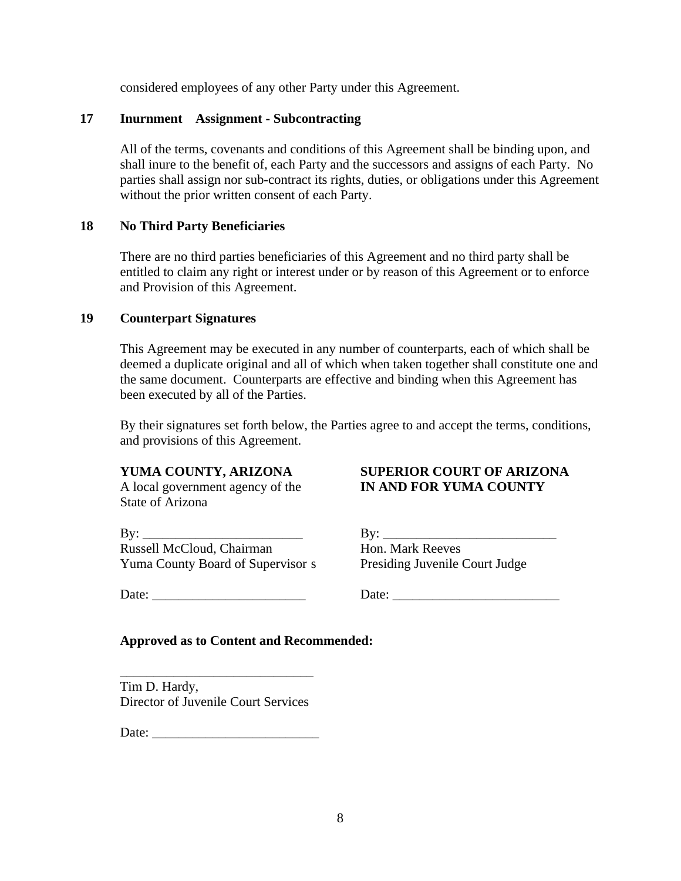considered employees of any other Party under this Agreement.

# **17 Inurnment Assignment - Subcontracting**

All of the terms, covenants and conditions of this Agreement shall be binding upon, and shall inure to the benefit of, each Party and the successors and assigns of each Party. No parties shall assign nor sub-contract its rights, duties, or obligations under this Agreement without the prior written consent of each Party.

# **18 No Third Party Beneficiaries**

There are no third parties beneficiaries of this Agreement and no third party shall be entitled to claim any right or interest under or by reason of this Agreement or to enforce and Provision of this Agreement.

# **19 Counterpart Signatures**

This Agreement may be executed in any number of counterparts, each of which shall be deemed a duplicate original and all of which when taken together shall constitute one and the same document. Counterparts are effective and binding when this Agreement has been executed by all of the Parties.

By their signatures set forth below, the Parties agree to and accept the terms, conditions, and provisions of this Agreement.

State of Arizona

 $\text{By:}\_$ Russell McCloud, Chairman Hon. Mark Reeves Yuma County Board of Supervisor s Presiding Juvenile Court Judge

**YUMA COUNTY, ARIZONA SUPERIOR COURT OF ARIZONA** A local government agency of the **IN AND FOR YUMA COUNTY**

Date: Letter and Date:  $\Box$ 

# **Approved as to Content and Recommended:**

\_\_\_\_\_\_\_\_\_\_\_\_\_\_\_\_\_\_\_\_\_\_\_\_\_\_\_\_\_ Tim D. Hardy, Director of Juvenile Court Services

Date: \_\_\_\_\_\_\_\_\_\_\_\_\_\_\_\_\_\_\_\_\_\_\_\_\_